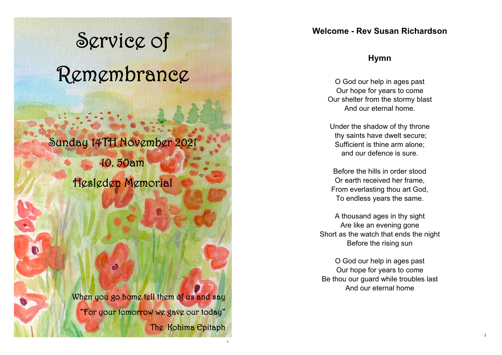# Service of Remembrance

# Sunday 14TH November 2021

10. 50am

Hesleden Memorial

When you go home tell them of us and say "For your tomorrow we gave our today" The Kohima Epitaph

1

# **Welcome - Rev Susan Richardson**

# **Hymn**

O God our help in ages past Our hope for years to come Our shelter from the stormy blast And our eternal home.

Under the shadow of thy throne thy saints have dwelt secure; Sufficient is thine arm alone; and our defence is sure.

Before the hills in order stood Or earth received her frame, From everlasting thou art God, To endless years the same.

A thousand ages in thy sight Are like an evening gone Short as the watch that ends the night Before the rising sun

O God our help in ages past Our hope for years to come Be thou our guard while troubles last And our eternal home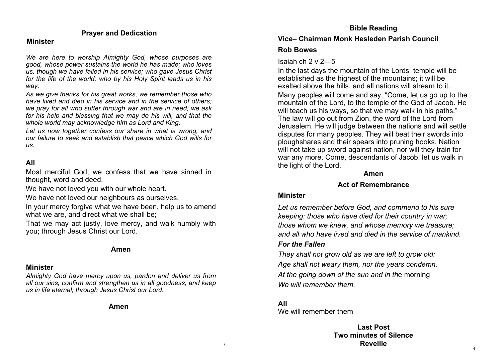#### **Prayer and Dedication**

#### **Minister**

*We are here to worship Almighty God, whose purposes are good, whose power sustains the world he has made; who loves us, though we have failed in his service; who gave Jesus Christ for the life of the world; who by his Holy Spirit leads us in his way.* 

*As we give thanks for his great works, we remember those who have lived and died in his service and in the service of others; we pray for all who suffer through war and are in need; we ask for his help and blessing that we may do his will, and that the whole world may acknowledge him as Lord and King.* 

Let us now together confess our share in what is wrong, and *our failure to seek and establish that peace which God wills for us.* 

# **All**

Most merciful God, we confess that we have sinned in thought, word and deed.

We have not loved you with our whole heart.

We have not loved our neighbours as ourselves.

In your mercy forgive what we have been, help us to amend what we are, and direct what we shall be:

That we may act justly, love mercy, and walk humbly with you; through Jesus Christ our Lord.

#### **Amen**

#### **Minister**

*Almighty God have mercy upon us, pardon and deliver us from all our sins, confirm and strengthen us in all goodness, and keep us in life eternal; through Jesus Christ our Lord.* 

**Amen**

#### **Bible Reading**

#### **Vice– Chairman Monk Hesleden Parish Council**

#### **Rob Bowes**

#### Isaiah ch 2 v 2—5

In the last days the mountain of the Lords temple will be established as the highest of the mountains; it will be exalted above the hills, and all nations will stream to it. Many peoples will come and say, "Come, let us go up to the mountain of the Lord, to the temple of the God of Jacob. He will teach us his ways, so that we may walk in his paths." The law will go out from Zion, the word of the Lord from Jerusalem. He will judge between the nations and will settle disputes for many peoples. They will beat their swords into ploughshares and their spears into pruning hooks. Nation will not take up sword against nation, nor will they train for war any more. Come, descendants of Jacob, let us walk in the light of the Lord.

#### **Amen**

# **Act of Remembrance**

#### **Minister**

*Let us remember before God, and commend to his sure keeping: those who have died for their country in war; those whom we knew, and whose memory we treasure; and all who have lived and died in the service of mankind. For the Fallen* 

*They shall not grow old as we are left to grow old: Age shall not weary them, nor the years condemn. At the going down of the sun and in th*e morning *We will remember them.* 

#### **All** We will remember them

**Last Post Two minutes of Silence Reveille**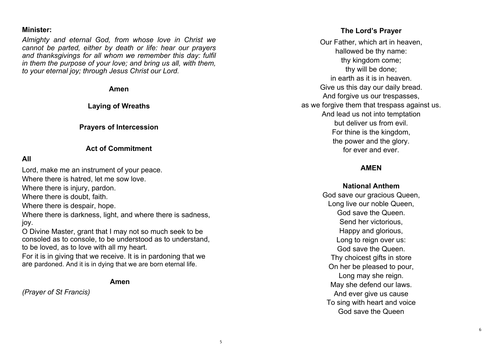#### **Minister:**

*Almighty and eternal God, from whose love in Christ we cannot be parted, either by death or life: hear our prayers and thanksgivings for all whom we remember this day: fulfil in them the purpose of your love; and bring us all, with them, to your eternal joy; through Jesus Christ our Lord.* 

**Amen** 

**Laying of Wreaths** 

#### **Prayers of Intercession**

#### **Act of Commitment**

#### **All**

Lord, make me an instrument of your peace. Where there is hatred, let me sow love. Where there is injury, pardon. Where there is doubt, faith. Where there is despair, hope. Where there is darkness, light, and where there is sadness, joy.

O Divine Master, grant that I may not so much seek to be consoled as to console, to be understood as to understand, to be loved, as to love with all my heart.

For it is in giving that we receive. It is in pardoning that we are pardoned. And it is in dying that we are born eternal life.

**Amen**

*(Prayer of St Francis)*

#### **The Lord's Prayer**

Our Father, which art in heaven, hallowed be thy name: thy kingdom come; thy will be done; in earth as it is in heaven. Give us this day our daily bread. And forgive us our trespasses, as we forgive them that trespass against us. And lead us not into temptation but deliver us from evil. For thine is the kingdom, the power and the glory. for ever and ever.

### **AMEN**

**National Anthem** God save our gracious Queen, Long live our noble Queen, God save the Queen. Send her victorious, Happy and glorious, Long to reign over us: God save the Queen. Thy choicest gifts in store On her be pleased to pour, Long may she reign. May she defend our laws. And ever give us cause To sing with heart and voice God save the Queen